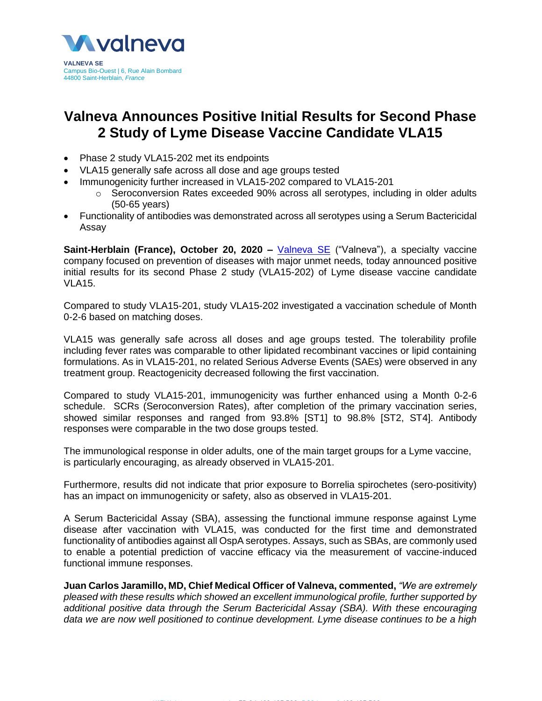

# **Valneva Announces Positive Initial Results for Second Phase 2 Study of Lyme Disease Vaccine Candidate VLA15**

- Phase 2 study VLA15-202 met its endpoints
- VLA15 generally safe across all dose and age groups tested
- Immunogenicity further increased in VLA15-202 compared to VLA15-201
	- $\circ$  Seroconversion Rates exceeded 90% across all serotypes, including in older adults (50-65 years)
- Functionality of antibodies was demonstrated across all serotypes using a Serum Bactericidal Assay

**Saint-Herblain (France), October 20, 2020 –** [Valneva SE](http://www.valneva.com/) ("Valneva"), a specialty vaccine company focused on prevention of diseases with major unmet needs, today announced positive initial results for its second Phase 2 study (VLA15-202) of Lyme disease vaccine candidate VLA15.

Compared to study VLA15-201, study VLA15-202 investigated a vaccination schedule of Month 0-2-6 based on matching doses.

VLA15 was generally safe across all doses and age groups tested. The tolerability profile including fever rates was comparable to other lipidated recombinant vaccines or lipid containing formulations. As in VLA15-201, no related Serious Adverse Events (SAEs) were observed in any treatment group. Reactogenicity decreased following the first vaccination.

Compared to study VLA15-201, immunogenicity was further enhanced using a Month 0-2-6 schedule. SCRs (Seroconversion Rates), after completion of the primary vaccination series, showed similar responses and ranged from 93.8% [ST1] to 98.8% [ST2, ST4]. Antibody responses were comparable in the two dose groups tested.

The immunological response in older adults, one of the main target groups for a Lyme vaccine, is particularly encouraging, as already observed in VLA15-201.

Furthermore, results did not indicate that prior exposure to Borrelia spirochetes (sero-positivity) has an impact on immunogenicity or safety, also as observed in VLA15-201.

A Serum Bactericidal Assay (SBA), assessing the functional immune response against Lyme disease after vaccination with VLA15, was conducted for the first time and demonstrated functionality of antibodies against all OspA serotypes. Assays, such as SBAs, are commonly used to enable a potential prediction of vaccine efficacy via the measurement of vaccine-induced functional immune responses.

**Juan Carlos Jaramillo, MD, Chief Medical Officer of Valneva, commented,** *"We are extremely pleased with these results which showed an excellent immunological profile, further supported by additional positive data through the Serum Bactericidal Assay (SBA). With these encouraging data we are now well positioned to continue development. Lyme disease continues to be a high*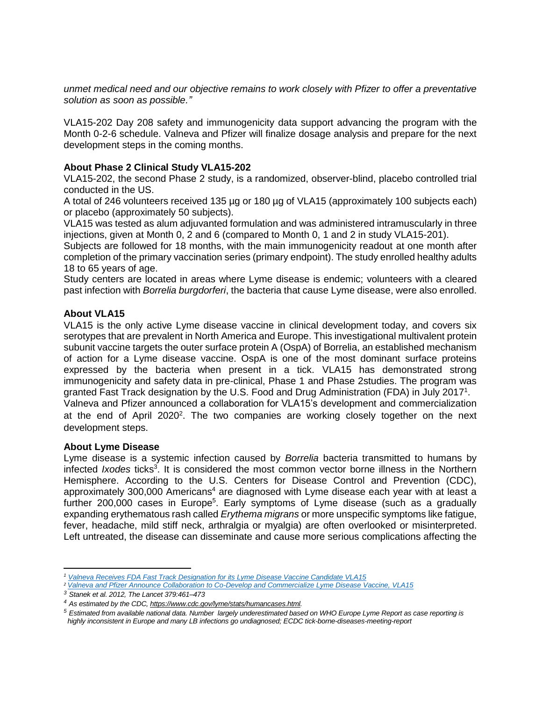*unmet medical need and our objective remains to work closely with Pfizer to offer a preventative solution as soon as possible."*

VLA15-202 Day 208 safety and immunogenicity data support advancing the program with the Month 0-2-6 schedule. Valneva and Pfizer will finalize dosage analysis and prepare for the next development steps in the coming months.

## **About Phase 2 Clinical Study VLA15-202**

VLA15-202, the second Phase 2 study, is a randomized, observer-blind, placebo controlled trial conducted in the US.

A total of 246 volunteers received 135 µg or 180 µg of VLA15 (approximately 100 subjects each) or placebo (approximately 50 subjects).

VLA15 was tested as alum adjuvanted formulation and was administered intramuscularly in three injections, given at Month 0, 2 and 6 (compared to Month 0, 1 and 2 in study VLA15-201).

Subjects are followed for 18 months, with the main immunogenicity readout at one month after completion of the primary vaccination series (primary endpoint). The study enrolled healthy adults 18 to 65 years of age.

Study centers are located in areas where Lyme disease is endemic; volunteers with a cleared past infection with *Borrelia burgdorferi*, the bacteria that cause Lyme disease, were also enrolled.

# **About VLA15**

VLA15 is the only active Lyme disease vaccine in clinical development today, and covers six serotypes that are prevalent in North America and Europe. This investigational multivalent protein subunit vaccine targets the outer surface protein A (OspA) of Borrelia, an established mechanism of action for a Lyme disease vaccine. OspA is one of the most dominant surface proteins expressed by the bacteria when present in a tick. VLA15 has demonstrated strong immunogenicity and safety data in pre-clinical, Phase 1 and Phase 2studies. The program was granted Fast Track designation by the U.S. Food and Drug Administration (FDA) in July 2017<sup>1</sup>. Valneva and Pfizer announced a collaboration for VLA15's development and commercialization at the end of April  $2020^2$ . The two companies are working closely together on the next development steps.

### **About Lyme Disease**

Lyme disease is a systemic infection caused by *Borrelia* bacteria transmitted to humans by infected *Ixodes* ticks<sup>3</sup>. It is considered the most common vector borne illness in the Northern Hemisphere. According to the U.S. Centers for Disease Control and Prevention (CDC), approximately 300,000 Americans<sup>4</sup> are diagnosed with Lyme disease each year with at least a further 200,000 cases in Europe<sup>5</sup>. Early symptoms of Lyme disease (such as a gradually expanding erythematous rash called *Erythema migrans* or more unspecific symptoms like fatigue, fever, headache, mild stiff neck, arthralgia or myalgia) are often overlooked or misinterpreted. Left untreated, the disease can disseminate and cause more serious complications affecting the

 $\overline{a}$ *<sup>1</sup> Valneva [Receives FDA Fast Track Designation for its Lyme Disease Vaccine Candidate VLA15](https://valneva.com/press-release/valneva-receives-fda-fast-track-designation-for-its-lyme-disease-vaccine-candidate-vla15/)*

*<sup>2</sup> Valneva [and Pfizer Announce Collaboration to Co-Develop and Commercialize Lyme Disease Vaccine, VLA15](https://valneva.com/press-release/valneva-and-pfizer-announce-collaboration-to-co-develop-and-commercialize-lyme-disease-vaccine-vla15/)*

*<sup>3</sup> Stanek et al. 2012, The Lancet 379:461–473*

*<sup>4</sup> As estimated by the CDC[, https://www.cdc.gov/lyme/stats/humancases.html.](https://www.cdc.gov/lyme/stats/humancases.html)*

*<sup>5</sup> Estimated from available national data. Number largely underestimated based on WHO Europe Lyme Report as case reporting is highly inconsistent in Europe and many LB infections go undiagnosed; ECDC tick-borne-diseases-meeting-report*